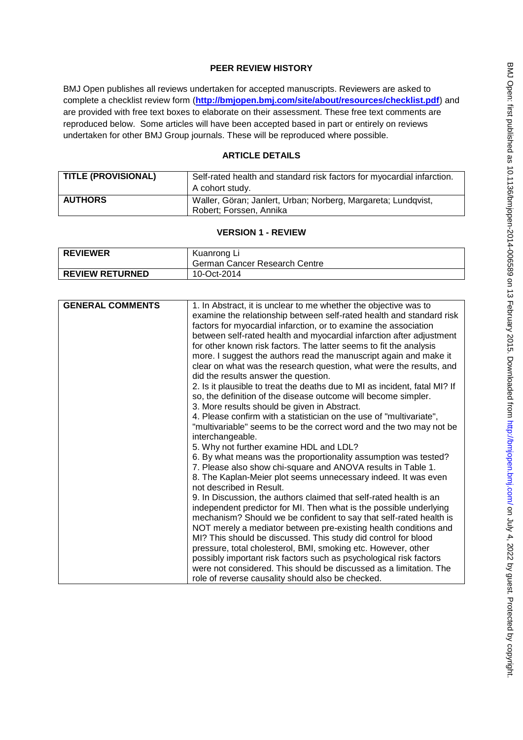## **PEER REVIEW HISTORY**

BMJ Open publishes all reviews undertaken for accepted manuscripts. Reviewers are asked to complete a checklist review form (**[http://bmjopen.bmj.com/site/about/resources/checklist.pdf\)](http://bmjopen.bmj.com/site/about/resources/checklist.pdf)** and are provided with free text boxes to elaborate on their assessment. These free text comments are reproduced below. Some articles will have been accepted based in part or entirely on reviews undertaken for other BMJ Group journals. These will be reproduced where possible.

## **ARTICLE DETAILS**

| <b>TITLE (PROVISIONAL)</b> | Self-rated health and standard risk factors for myocardial infarction.<br>A cohort study. |
|----------------------------|-------------------------------------------------------------------------------------------|
| <b>AUTHORS</b>             | Waller, Göran; Janlert, Urban; Norberg, Margareta; Lundqvist,<br>Robert; Forssen, Annika  |

## **VERSION 1 - REVIEW**

| <b>REVIEWER</b>        | Kuanrong Li                   |
|------------------------|-------------------------------|
|                        | German Cancer Research Centre |
| <b>REVIEW RETURNED</b> | 10-Oct-2014                   |

| <b>GENERAL COMMENTS</b> | 1. In Abstract, it is unclear to me whether the objective was to<br>examine the relationship between self-rated health and standard risk<br>factors for myocardial infarction, or to examine the association<br>between self-rated health and myocardial infarction after adjustment<br>for other known risk factors. The latter seems to fit the analysis<br>more. I suggest the authors read the manuscript again and make it<br>clear on what was the research question, what were the results, and<br>did the results answer the question.<br>2. Is it plausible to treat the deaths due to MI as incident, fatal MI? If<br>so, the definition of the disease outcome will become simpler.<br>3. More results should be given in Abstract.<br>4. Please confirm with a statistician on the use of "multivariate",<br>"multivariable" seems to be the correct word and the two may not be<br>interchangeable.<br>5. Why not further examine HDL and LDL?<br>6. By what means was the proportionality assumption was tested?<br>7. Please also show chi-square and ANOVA results in Table 1.<br>8. The Kaplan-Meier plot seems unnecessary indeed. It was even<br>not described in Result.<br>9. In Discussion, the authors claimed that self-rated health is an<br>independent predictor for MI. Then what is the possible underlying<br>mechanism? Should we be confident to say that self-rated health is<br>NOT merely a mediator between pre-existing health conditions and<br>MI? This should be discussed. This study did control for blood |
|-------------------------|------------------------------------------------------------------------------------------------------------------------------------------------------------------------------------------------------------------------------------------------------------------------------------------------------------------------------------------------------------------------------------------------------------------------------------------------------------------------------------------------------------------------------------------------------------------------------------------------------------------------------------------------------------------------------------------------------------------------------------------------------------------------------------------------------------------------------------------------------------------------------------------------------------------------------------------------------------------------------------------------------------------------------------------------------------------------------------------------------------------------------------------------------------------------------------------------------------------------------------------------------------------------------------------------------------------------------------------------------------------------------------------------------------------------------------------------------------------------------------------------------------------------------------------------------|
|                         | pressure, total cholesterol, BMI, smoking etc. However, other<br>possibly important risk factors such as psychological risk factors<br>were not considered. This should be discussed as a limitation. The                                                                                                                                                                                                                                                                                                                                                                                                                                                                                                                                                                                                                                                                                                                                                                                                                                                                                                                                                                                                                                                                                                                                                                                                                                                                                                                                            |
|                         | role of reverse causality should also be checked.                                                                                                                                                                                                                                                                                                                                                                                                                                                                                                                                                                                                                                                                                                                                                                                                                                                                                                                                                                                                                                                                                                                                                                                                                                                                                                                                                                                                                                                                                                    |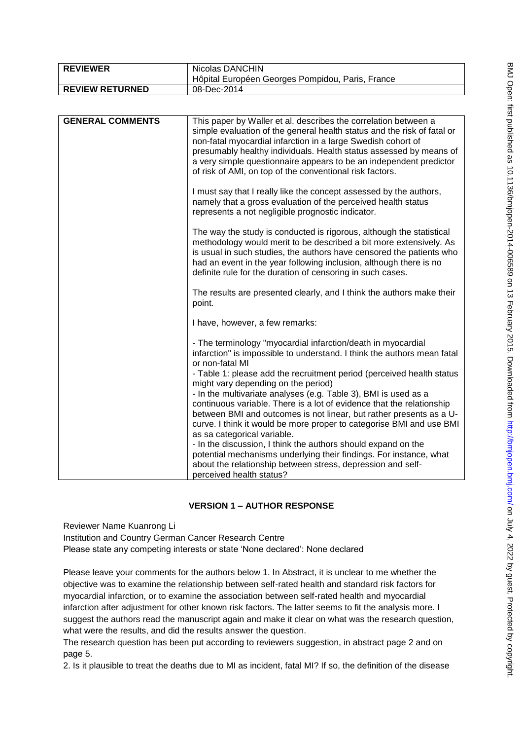| <b>REVIEWER</b>         | Nicolas DANCHIN                                                                                                                                                                                                                                                                                                                                                                                                                                                                                                                                                                                                                                                                                                                                                                                                                        |
|-------------------------|----------------------------------------------------------------------------------------------------------------------------------------------------------------------------------------------------------------------------------------------------------------------------------------------------------------------------------------------------------------------------------------------------------------------------------------------------------------------------------------------------------------------------------------------------------------------------------------------------------------------------------------------------------------------------------------------------------------------------------------------------------------------------------------------------------------------------------------|
|                         | Hôpital Européen Georges Pompidou, Paris, France                                                                                                                                                                                                                                                                                                                                                                                                                                                                                                                                                                                                                                                                                                                                                                                       |
| <b>REVIEW RETURNED</b>  | 08-Dec-2014                                                                                                                                                                                                                                                                                                                                                                                                                                                                                                                                                                                                                                                                                                                                                                                                                            |
|                         |                                                                                                                                                                                                                                                                                                                                                                                                                                                                                                                                                                                                                                                                                                                                                                                                                                        |
| <b>GENERAL COMMENTS</b> | This paper by Waller et al. describes the correlation between a<br>simple evaluation of the general health status and the risk of fatal or<br>non-fatal myocardial infarction in a large Swedish cohort of<br>presumably healthy individuals. Health status assessed by means of<br>a very simple questionnaire appears to be an independent predictor<br>of risk of AMI, on top of the conventional risk factors.                                                                                                                                                                                                                                                                                                                                                                                                                     |
|                         | I must say that I really like the concept assessed by the authors,<br>namely that a gross evaluation of the perceived health status<br>represents a not negligible prognostic indicator.                                                                                                                                                                                                                                                                                                                                                                                                                                                                                                                                                                                                                                               |
|                         | The way the study is conducted is rigorous, although the statistical<br>methodology would merit to be described a bit more extensively. As<br>is usual in such studies, the authors have censored the patients who<br>had an event in the year following inclusion, although there is no<br>definite rule for the duration of censoring in such cases.                                                                                                                                                                                                                                                                                                                                                                                                                                                                                 |
|                         | The results are presented clearly, and I think the authors make their<br>point.                                                                                                                                                                                                                                                                                                                                                                                                                                                                                                                                                                                                                                                                                                                                                        |
|                         | I have, however, a few remarks:                                                                                                                                                                                                                                                                                                                                                                                                                                                                                                                                                                                                                                                                                                                                                                                                        |
|                         | - The terminology "myocardial infarction/death in myocardial<br>infarction" is impossible to understand. I think the authors mean fatal<br>or non-fatal MI<br>- Table 1: please add the recruitment period (perceived health status<br>might vary depending on the period)<br>- In the multivariate analyses (e.g. Table 3), BMI is used as a<br>continuous variable. There is a lot of evidence that the relationship<br>between BMI and outcomes is not linear, but rather presents as a U-<br>curve. I think it would be more proper to categorise BMI and use BMI<br>as sa categorical variable.<br>- In the discussion, I think the authors should expand on the<br>potential mechanisms underlying their findings. For instance, what<br>about the relationship between stress, depression and self-<br>perceived health status? |

## **VERSION 1 – AUTHOR RESPONSE**

Reviewer Name Kuanrong Li

Institution and Country German Cancer Research Centre

Please state any competing interests or state 'None declared': None declared

Please leave your comments for the authors below 1. In Abstract, it is unclear to me whether the objective was to examine the relationship between self-rated health and standard risk factors for myocardial infarction, or to examine the association between self-rated health and myocardial infarction after adjustment for other known risk factors. The latter seems to fit the analysis more. I suggest the authors read the manuscript again and make it clear on what was the research question, what were the results, and did the results answer the question.

The research question has been put according to reviewers suggestion, in abstract page 2 and on page 5.

2. Is it plausible to treat the deaths due to MI as incident, fatal MI? If so, the definition of the disease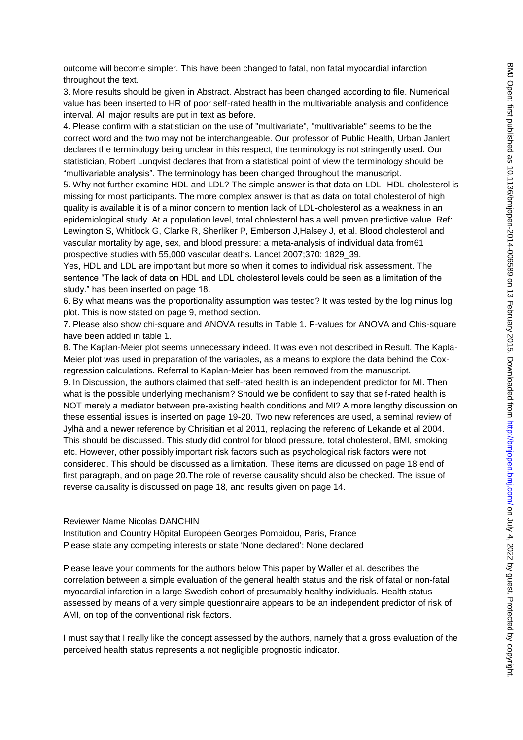outcome will become simpler. This have been changed to fatal, non fatal myocardial infarction throughout the text.

3. More results should be given in Abstract. Abstract has been changed according to file. Numerical value has been inserted to HR of poor self-rated health in the multivariable analysis and confidence interval. All major results are put in text as before.

4. Please confirm with a statistician on the use of "multivariate", "multivariable" seems to be the correct word and the two may not be interchangeable. Our professor of Public Health, Urban Janlert declares the terminology being unclear in this respect, the terminology is not stringently used. Our statistician, Robert Lunqvist declares that from a statistical point of view the terminology should be "multivariable analysis". The terminology has been changed throughout the manuscript.

5. Why not further examine HDL and LDL? The simple answer is that data on LDL- HDL-cholesterol is missing for most participants. The more complex answer is that as data on total cholesterol of high quality is available it is of a minor concern to mention lack of LDL-cholesterol as a weakness in an epidemiological study. At a population level, total cholesterol has a well proven predictive value. Ref: Lewington S, Whitlock G, Clarke R, Sherliker P, Emberson J,Halsey J, et al. Blood cholesterol and vascular mortality by age, sex, and blood pressure: a meta-analysis of individual data from61 prospective studies with 55,000 vascular deaths. Lancet 2007;370: 1829\_39.

Yes, HDL and LDL are important but more so when it comes to individual risk assessment. The sentence "The lack of data on HDL and LDL cholesterol levels could be seen as a limitation of the study." has been inserted on page 18.

6. By what means was the proportionality assumption was tested? It was tested by the log minus log plot. This is now stated on page 9, method section.

7. Please also show chi-square and ANOVA results in Table 1. P-values for ANOVA and Chis-square have been added in table 1.

8. The Kaplan-Meier plot seems unnecessary indeed. It was even not described in Result. The Kapla-Meier plot was used in preparation of the variables, as a means to explore the data behind the Coxregression calculations. Referral to Kaplan-Meier has been removed from the manuscript.

9. In Discussion, the authors claimed that self-rated health is an independent predictor for MI. Then what is the possible underlying mechanism? Should we be confident to say that self-rated health is NOT merely a mediator between pre-existing health conditions and MI? A more lengthy discussion on these essential issues is inserted on page 19-20. Two new references are used, a seminal review of Jylhä and a newer reference by Chrisitian et al 2011, replacing the referenc of Lekande et al 2004. This should be discussed. This study did control for blood pressure, total cholesterol, BMI, smoking etc. However, other possibly important risk factors such as psychological risk factors were not considered. This should be discussed as a limitation. These items are dicussed on page 18 end of first paragraph, and on page 20.The role of reverse causality should also be checked. The issue of reverse causality is discussed on page 18, and results given on page 14.

Reviewer Name Nicolas DANCHIN

Institution and Country Hôpital Européen Georges Pompidou, Paris, France Please state any competing interests or state 'None declared': None declared

Please leave your comments for the authors below This paper by Waller et al. describes the correlation between a simple evaluation of the general health status and the risk of fatal or non-fatal myocardial infarction in a large Swedish cohort of presumably healthy individuals. Health status assessed by means of a very simple questionnaire appears to be an independent predictor of risk of AMI, on top of the conventional risk factors.

I must say that I really like the concept assessed by the authors, namely that a gross evaluation of the perceived health status represents a not negligible prognostic indicator.